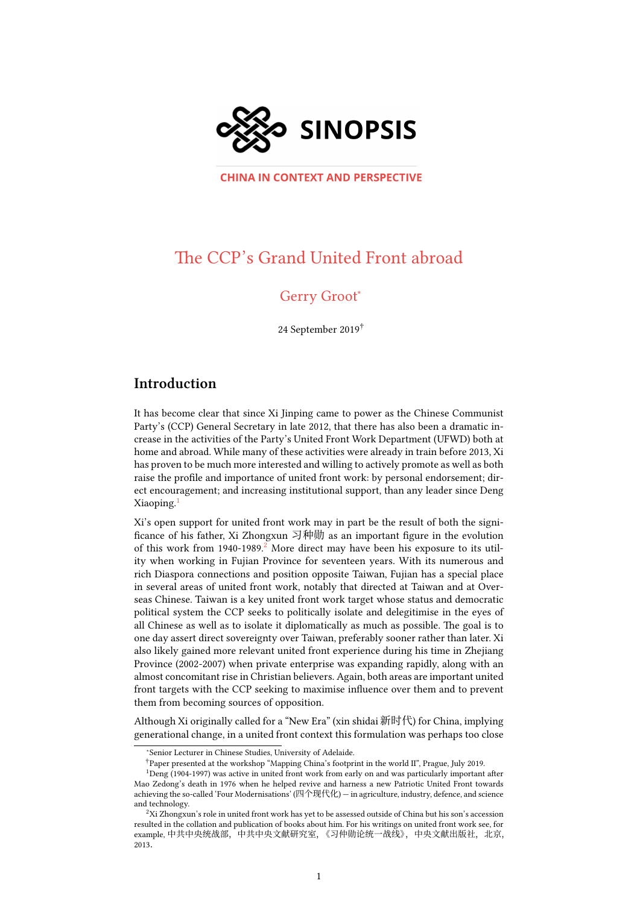

**CHINA IN CONTEXT AND PERSPECTIVE** 

# The CCP's Grand United Front abroad

# Gerry Groot<sup>∗</sup>

24 September 2019†

# **Introduction**

It has become clear that since Xi Jinping came to power as the Chinese Communist Party's (CCP) General Secretary in late 2012, that there has also been a dramatic increase in the activities of the Party's United Front Work Department (UFWD) both at home and abroad. While many of these activities were already in train before 2013, Xi has proven to be much more interested and willing to actively promote as well as both raise the profile and importance of united front work: by personal endorsement; direct encouragement; and increasing institutional support, than any leader since Deng Xiaoping.<sup>1</sup>

Xi's open support for united front work may in part be the result of both the significance of his father, Xi Zhongxun 习种勋 as an important figure in the evolution [o](#page-0-0)f this work from 1940-1989.<sup>2</sup> More direct may have been his exposure to its utility when working in Fujian Province for seventeen years. With its numerous and rich Diaspora connections and position opposite Taiwan, Fujian has a special place in several areas of united front work, notably that directed at Taiwan and at Overseas Chinese. Taiwan is a ke[y u](#page-0-1)nited front work target whose status and democratic political system the CCP seeks to politically isolate and delegitimise in the eyes of all Chinese as well as to isolate it diplomatically as much as possible. The goal is to one day assert direct sovereignty over Taiwan, preferably sooner rather than later. Xi also likely gained more relevant united front experience during his time in Zhejiang Province (2002-2007) when private enterprise was expanding rapidly, along with an almost concomitant rise in Christian believers. Again, both areas are important united front targets with the CCP seeking to maximise influence over them and to prevent them from becoming sources of opposition.

Although Xi originally called for a "New Era" (xin shidai 新时代) for China, implying generational change, in a united front context this formulation was perhaps too close

<sup>∗</sup>Senior Lecturer in Chinese Studies, University of Adelaide.

<sup>†</sup>Paper presented at the workshop "Mapping China's footprint in the world II", Prague, July 2019.

<sup>&</sup>lt;sup>1</sup>Deng (1904-1997) was active in united front work from early on and was particularly important after Mao Zedong's death in 1976 when he helped revive and harness a new Patriotic United Front towards achieving the so-called 'Four Modernisations' (四个现代化) — in agriculture, industry, defence, and science and technology.

<span id="page-0-1"></span><span id="page-0-0"></span> ${}^{2}\mathrm{Xi}$  Zhongxun's role in united front work has yet to be assessed outside of China but his son's accession resulted in the collation and publication of books about him. For his writings on united front work see, for example, 中共中央统战部, 中共中央文献研究室, 《习仲勋论统一战线》, 中央文献出版社, 北京, 2013.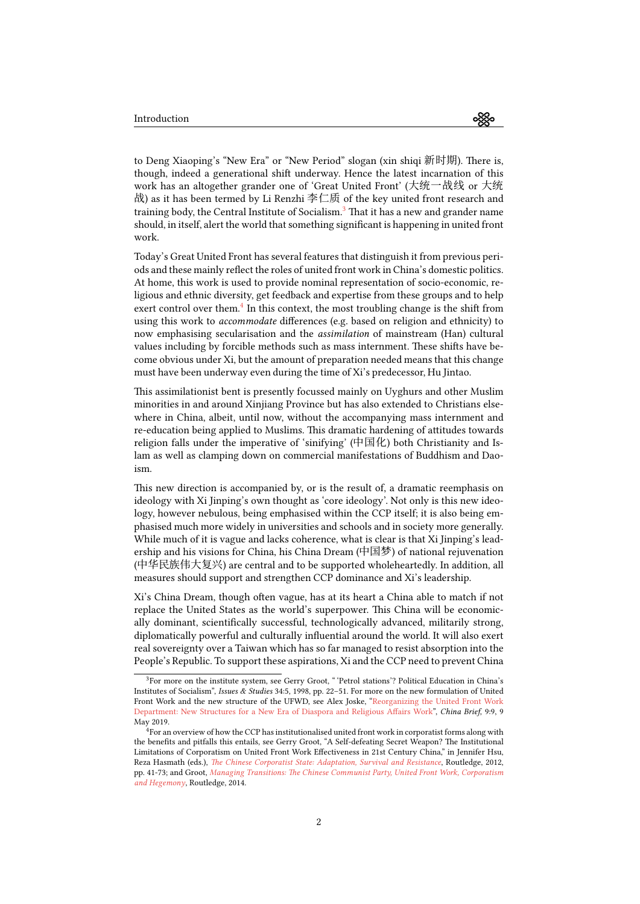to Deng Xiaoping's "New Era" or "New Period" slogan (xin shiqi 新时期). There is, though, indeed a generational shift underway. Hence the latest incarnation of this work has an altogether grander one of 'Great United Front' (大统一战线 or 大统 战) as it has been termed by Li Renzhi 李仁质 of the key united front research and training body, the Central Institute of Socialism.<sup>3</sup> That it has a new and grander name should, in itself, alert the world that something significant is happening in united front work.

Today's Great United Front has several features [th](#page-1-0)at distinguish it from previous periods and these mainly reflect the roles of united front work in China's domestic politics. At home, this work is used to provide nominal representation of socio-economic, religious and ethnic diversity, get feedback and expertise from these groups and to help exert control over them.<sup>4</sup> In this context, the most troubling change is the shift from using this work to *accommodate* differences (e.g. based on religion and ethnicity) to now emphasising secularisation and the *assimilation* of mainstream (Han) cultural values including by forcible methods such as mass internment. These shifts have become obvious under Xi, [bu](#page-1-1)t the amount of preparation needed means that this change must have been underway even during the time of Xi's predecessor, Hu Jintao.

This assimilationist bent is presently focussed mainly on Uyghurs and other Muslim minorities in and around Xinjiang Province but has also extended to Christians elsewhere in China, albeit, until now, without the accompanying mass internment and re-education being applied to Muslims. This dramatic hardening of attitudes towards religion falls under the imperative of 'sinifying' (中国化) both Christianity and Islam as well as clamping down on commercial manifestations of Buddhism and Daoism.

This new direction is accompanied by, or is the result of, a dramatic reemphasis on ideology with Xi Jinping's own thought as 'core ideology'. Not only is this new ideology, however nebulous, being emphasised within the CCP itself; it is also being emphasised much more widely in universities and schools and in society more generally. While much of it is vague and lacks coherence, what is clear is that Xi Jinping's leadership and his visions for China, his China Dream (中国梦) of national rejuvenation (中华民族伟大复兴) are central and to be supported wholeheartedly. In addition, all measures should support and strengthen CCP dominance and Xi's leadership.

Xi's China Dream, though often vague, has at its heart a China able to match if not replace the United States as the world's superpower. This China will be economically dominant, scientifically successful, technologically advanced, militarily strong, diplomatically powerful and culturally influential around the world. It will also exert real sovereignty over a Taiwan which has so far managed to resist absorption into the People's Republic. To support these aspirations, Xi and the CCP need to prevent China

<sup>&</sup>lt;sup>3</sup>For more on the institute system, see Gerry Groot, "'Petrol stations'? Political Education in China's Institutes of Socialism", *Issues & Studies* 34:5, 1998, pp. 22–51. For more on the new formulation of United Front Work and the new structure of the UFWD, see Alex Joske, "Reorganizing the United Front Work Department: New Structures for a New Era of Diaspora and Religious Affairs Work", *China Brief*, 9:9, 9 May 2019.

<span id="page-1-1"></span><span id="page-1-0"></span><sup>&</sup>lt;sup>4</sup>For an overview of how the CCP has institutionalised united front work in corporatist forms along with the benefits and pitfalls this entails, see Gerry Groot, "A Self-defeating Secret Weapon? The Institutional Limitations of Corporatism on United Front Work Effectiveness in [21st Century China," in Jennifer Hsu,](https://jamestown.org/program/reorganizing-the-united-front-work-department-new-structures-for-a-new-era-of-diaspora-and-religious-affairs-work/) Reza Hasmath (eds.), *[The Chinese Corporatist State: Adaptation, Survival and Resistan](https://jamestown.org/program/reorganizing-the-united-front-work-department-new-structures-for-a-new-era-of-diaspora-and-religious-affairs-work/)ce*, Routledge, 2012, pp. 41-73; and Groot, *Managing Transitions: The Chinese Communist Party, United Front Work, Corporatism and Hegemony*, Routledge, 2014.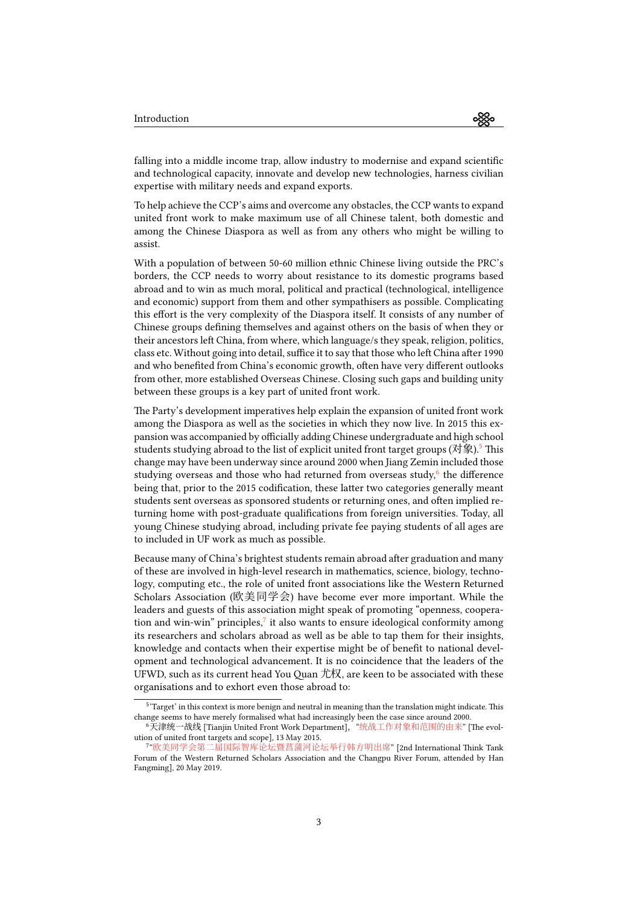≪

falling into a middle income trap, allow industry to modernise and expand scientific and technological capacity, innovate and develop new technologies, harness civilian expertise with military needs and expand exports.

To help achieve the CCP's aims and overcome any obstacles, the CCP wants to expand united front work to make maximum use of all Chinese talent, both domestic and among the Chinese Diaspora as well as from any others who might be willing to assist.

With a population of between 50-60 million ethnic Chinese living outside the PRC's borders, the CCP needs to worry about resistance to its domestic programs based abroad and to win as much moral, political and practical (technological, intelligence and economic) support from them and other sympathisers as possible. Complicating this effort is the very complexity of the Diaspora itself. It consists of any number of Chinese groups defining themselves and against others on the basis of when they or their ancestors left China, from where, which language/s they speak, religion, politics, class etc. Without going into detail, suffice it to say that those who left China after 1990 and who benefited from China's economic growth, often have very different outlooks from other, more established Overseas Chinese. Closing such gaps and building unity between these groups is a key part of united front work.

The Party's development imperatives help explain the expansion of united front work among the Diaspora as well as the societies in which they now live. In 2015 this expansion was accompanied by officially adding Chinese undergraduate and high school students studying abroad to the list of explicit united front target groups (对象).<sup>5</sup> This change may have been underway since around 2000 when Jiang Zemin included those studying overseas and those who had returned from overseas study,<sup>6</sup> the difference being that, prior to the 2015 codification, these latter two categories generally meant students sent overseas as sponsored students or returning ones, and often impli[e](#page-2-0)d returning home with post-graduate qualifications from foreign universities. Today, all young Chinese studying abroad, including private fee paying studen[ts](#page-2-1) of all ages are to included in UF work as much as possible.

Because many of China's brightest students remain abroad after graduation and many of these are involved in high-level research in mathematics, science, biology, technology, computing etc., the role of united front associations like the Western Returned Scholars Association (欧美同学会) have become ever more important. While the leaders and guests of this association might speak of promoting "openness, cooperation and win-win" principles, $^7$  it also wants to ensure ideological conformity among its researchers and scholars abroad as well as be able to tap them for their insights, knowledge and contacts when their expertise might be of benefit to national development and technological advancement. It is no coincidence that the leaders of the UFWD, such as its current he[a](#page-2-2)d You Quan 尤权, are keen to be associated with these organisations and to exhort even those abroad to:

<sup>&</sup>lt;sup>5</sup> 'Target' in this context is more benign and neutral in meaning than the translation might indicate. This change seems to have merely formalised what had increasingly been the case since around 2000.

<sup>&</sup>lt;sup>6</sup>天津统一战线 [Tianjin United Front Work Department], "统战工作对象和范围的由来" [The evolution of united front targets and scope], 13 May 2015.

<span id="page-2-2"></span><span id="page-2-1"></span><span id="page-2-0"></span><sup>7</sup> "欧美同学会第二届国际智库论坛暨菖蒲河论坛举行韩方明出席" [2nd International Think Tank Forum of the Western Returned Scholars Association and the Changpu River Forum, attended by Han Fangming], 20 May 2019.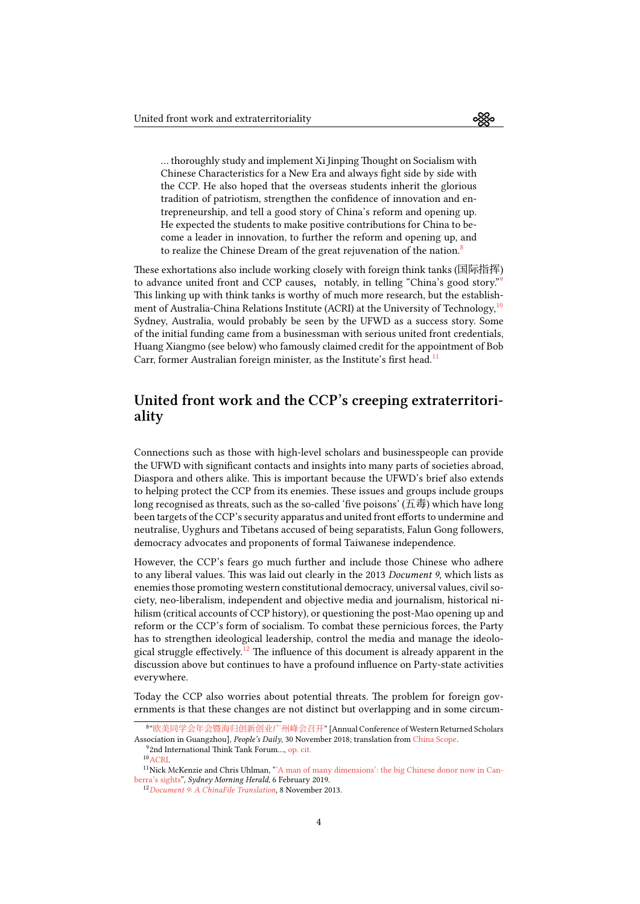… thoroughly study and implement Xi Jinping Thought on Socialism with Chinese Characteristics for a New Era and always fight side by side with the CCP. He also hoped that the overseas students inherit the glorious tradition of patriotism, strengthen the confidence of innovation and entrepreneurship, and tell a good story of China's reform and opening up. He expected the students to make positive contributions for China to become a leader in innovation, to further the reform and opening up, and to realize the Chinese Dream of the great rejuvenation of the nation. $8$ 

These exhortations also include working closely with foreign think tanks (国际指挥) to advance united front and CCP causes, notably, in telling "China's good story."<sup>9</sup> This linking up with think tanks is worthy of much more research, but the [e](#page-3-0)stablishment of Australia-China Relations Institute (ACRI) at the University of Technology,  $10$ Sydney, Australia, would probably be seen by the UFWD as a success story. Some of the initial funding came from a businessman with serious united front credential[s,](#page-3-1) Huang Xiangmo (see below) who famously claimed credit for the appointment of Bob Carr, former Australian foreign minister, as the Institute's first head.<sup>11</sup>

# **United front work and the CCP's creeping ext[ra](#page-3-2)territoriality**

Connections such as those with high-level scholars and businesspeople can provide the UFWD with significant contacts and insights into many parts of societies abroad, Diaspora and others alike. This is important because the UFWD's brief also extends to helping protect the CCP from its enemies. These issues and groups include groups long recognised as threats, such as the so-called 'five poisons' (五毒) which have long been targets of the CCP's security apparatus and united front efforts to undermine and neutralise, Uyghurs and Tibetans accused of being separatists, Falun Gong followers, democracy advocates and proponents of formal Taiwanese independence.

However, the CCP's fears go much further and include those Chinese who adhere to any liberal values. This was laid out clearly in the 2013 *Document 9*, which lists as enemies those promoting western constitutional democracy, universal values, civil society, neo-liberalism, independent and objective media and journalism, historical nihilism (critical accounts of CCP history), or questioning the post-Mao opening up and reform or the CCP's form of socialism. To combat these pernicious forces, the Party has to strengthen ideological leadership, control the media and manage the ideological struggle effectively.<sup>12</sup> The influence of this document is already apparent in the discussion above but continues to have a profound influence on Party-state activities everywhere.

Today the CCP also wo[rri](#page-3-3)es about potential threats. The problem for foreign governments is that these changes are not distinct but overlapping and in some circum-

<sup>8</sup> "欧美同学会年会暨海归创新创业广州峰会召开" [Annual Conference of Western Returned Scholars Association in Guangzhou], *People's Daily*, 30 November 2018; translation from China Scope.

<sup>&</sup>lt;sup>9</sup>2nd International Think Tank Forum..., op. cit.

 $10$  ACRI.

<sup>11</sup>Nick McKenzie and Chris Uhlman, "'A man of many dimensions': the big Chinese donor now in Canberra's sights", *[Sydney Morning Herald](https://web.archive.org/web/20190911115648/http://paper.people.com.cn/rmrb/html/2018-11/30/nw.D110000renmrb_20181130_2-04.htm)*, 6 February 2019.

<span id="page-3-3"></span><span id="page-3-2"></span><span id="page-3-1"></span><span id="page-3-0"></span><sup>12</sup>*Document 9: A ChinaFile Translation*, 8 November 2013.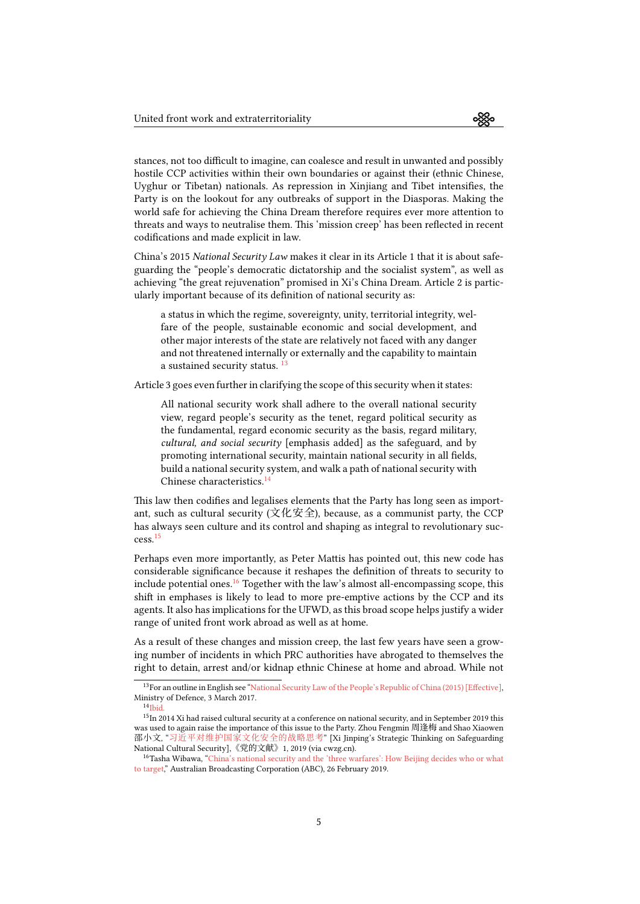stances, not too difficult to imagine, can coalesce and result in unwanted and possibly hostile CCP activities within their own boundaries or against their (ethnic Chinese, Uyghur or Tibetan) nationals. As repression in Xinjiang and Tibet intensifies, the Party is on the lookout for any outbreaks of support in the Diasporas. Making the world safe for achieving the China Dream therefore requires ever more attention to threats and ways to neutralise them. This 'mission creep' has been reflected in recent codifications and made explicit in law.

China's 2015 *National Security Law* makes it clear in its Article 1 that it is about safeguarding the "people's democratic dictatorship and the socialist system", as well as achieving "the great rejuvenation" promised in Xi's China Dream. Article 2 is particularly important because of its definition of national security as:

a status in which the regime, sovereignty, unity, territorial integrity, welfare of the people, sustainable economic and social development, and other major interests of the state are relatively not faced with any danger and not threatened internally or externally and the capability to maintain a sustained security status.<sup>13</sup>

Article 3 goes even further in clarifying the scope of this security when it states:

All national security work shall adhere to the overall national security view, regard people's secu[rit](#page-4-0)y as the tenet, regard political security as the fundamental, regard economic security as the basis, regard military, *cultural, and social security* [emphasis added] as the safeguard, and by promoting international security, maintain national security in all fields, build a national security system, and walk a path of national security with Chinese characteristics.<sup>14</sup>

This law then codifies and legalises elements that the Party has long seen as important, such as cultural security (文化安全), because, as a communist party, the CCP has always seen culture andi[ts](#page-4-1) control and shaping as integral to revolutionary success.<sup>15</sup>

Perhaps even more importantly, as Peter Mattis has pointed out, this new code has considerable significance because it reshapes the definition of threats to security to incl[ud](#page-4-2)e potential ones.<sup>16</sup> Together with the law's almost all-encompassing scope, this shift in emphases is likely to lead to more pre-emptive actions by the CCP and its agents. It also has implications for the UFWD, as this broad scope helps justify a wider range of united front work abroad as well as at home.

As a result of these ch[an](#page-4-3)ges and mission creep, the last few years have seen a growing number of incidents in which PRC authorities have abrogated to themselves the right to detain, arrest and/or kidnap ethnic Chinese at home and abroad. While not

<sup>13</sup>For an outline in English see "National Security Law of the People's Republic of China (2015) [Effective], Ministry of Defence, 3 March 2017.

 $14$ Ibid.

<span id="page-4-0"></span> $^{15}{\rm In}$  2014 Xi had raised cultural security at a conference on national security, and in September 2019 this was used to again raise the importance of this issue to the Party. Zhou Fengmin 周逢梅 and Shao Xiaowen 邵小文, "习近平对维护国家文化安全的战略思考[" \[Xi Jinping's Strategic Thinking on Safeguarding](https://web.archive.org/web/20190911115858/http://eng.mod.gov.cn/publications/2017-03/03/content_4774229.htm) National Cultural Security],《党的文献》1, 2019 (via cwzg.cn).

<span id="page-4-3"></span><span id="page-4-2"></span><span id="page-4-1"></span><sup>&</sup>lt;sup>16</sup>[Tash](https://web.archive.org/web/20190911115858/http://eng.mod.gov.cn/publications/2017-03/03/content_4774229.htm)a Wibawa, "China's national security and the 'three warfares': How Beijing decides who or what to target," Australian Broadcasting Corporation (ABC), 26 February 2019.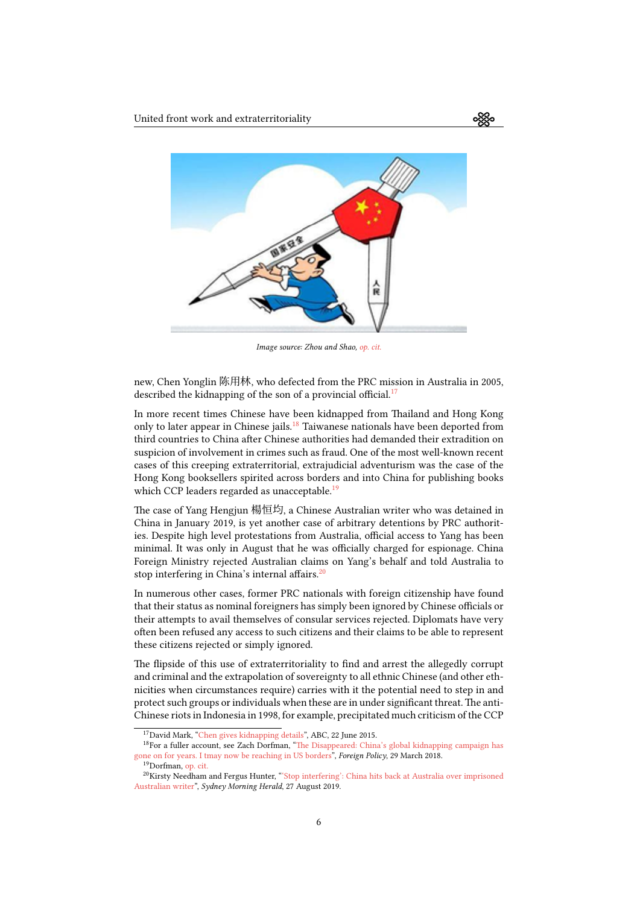

*Image source: Zhou and Shao, op. cit.*

new, Chen Yonglin 陈用林, who defected from the PRC mission in Australia in 2005, described the kidnapping of the son of a provincial [officia](https://web.archive.org/web/20190917133643/http://m.cwzg.cn/theory/201904/48101.html?page=full)l.<sup>17</sup>

In more recent times Chinese have been kidnapped from Thailand and Hong Kong only to later appear in Chinese jails.<sup>18</sup> Taiwanese nationals have been deported from third countries to China after Chinese authorities had dem[an](#page-5-0)ded their extradition on suspicion of involvement in crimes such as fraud. One of the most well-known recent cases of this creeping extraterritorial, extrajudicial adventurism was the case of the Hong Kong booksellers spirited acr[os](#page-5-1)s borders and into China for publishing books which CCP leaders regarded as unacceptable.<sup>19</sup>

The case of Yang Hengjun 楊恒均, a Chinese Australian writer who was detained in China in January 2019, is yet another case of arbitrary detentions by PRC authorities. Despite high level protestations from Au[st](#page-5-2)ralia, official access to Yang has been minimal. It was only in August that he was officially charged for espionage. China Foreign Ministry rejected Australian claims on Yang's behalf and told Australia to stop interfering in China's internal affairs.<sup>20</sup>

In numerous other cases, former PRC nationals with foreign citizenship have found that their status as nominal foreigners has simply been ignored by Chinese officials or their attempts to avail themselves of cons[ula](#page-5-3)r services rejected. Diplomats have very often been refused any access to such citizens and their claims to be able to represent these citizens rejected or simply ignored.

The flipside of this use of extraterritoriality to find and arrest the allegedly corrupt and criminal and the extrapolation of sovereignty to all ethnic Chinese (and other ethnicities when circumstances require) carries with it the potential need to step in and protect such groups or individuals when these are in under significant threat.The anti-Chinese riots in Indonesia in 1998, for example, precipitated much criticism of the CCP

<sup>17</sup>David Mark, "Chen gives kidnapping details", ABC, 22 June 2015.

<sup>18</sup>For a fuller account, see Zach Dorfman, "The Disappeared: China's global kidnapping campaign has gone on for years. I tmay now be reaching in US borders", *Foreign Policy*, 29 March 2018.

<sup>19</sup>Dorfman, op. cit.

<span id="page-5-3"></span><span id="page-5-2"></span><span id="page-5-1"></span><span id="page-5-0"></span><sup>20</sup>Kirsty Needham and Fergus Hunter, "'Stop interfering': China hits back at Australia over imprisoned Australian writer", *[Sydney Morning Herald](https://www.abc.net.au/pm/content/2005/s1398324.htm)*, 27 August 2019.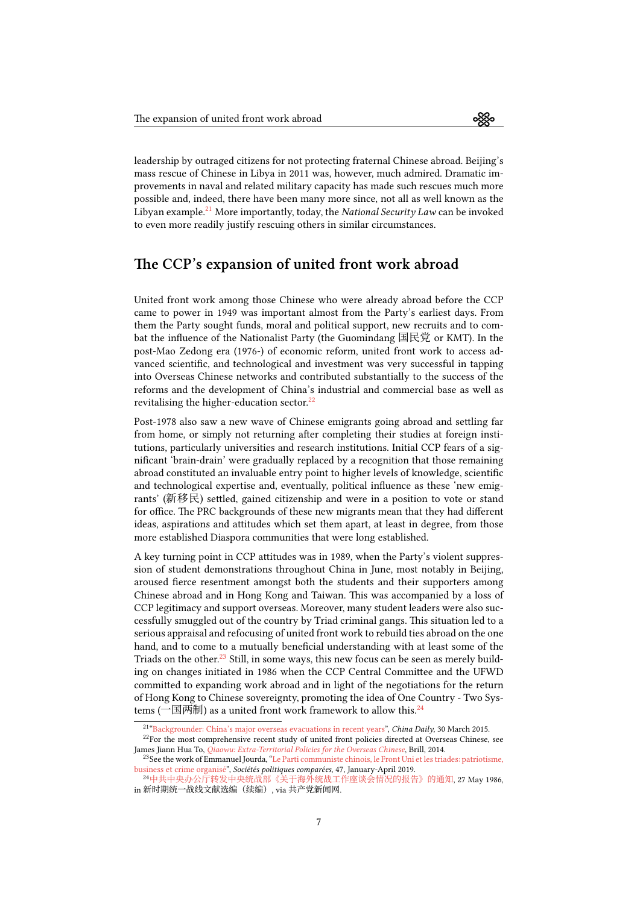leadership by outraged citizens for not protecting fraternal Chinese abroad. Beijing's mass rescue of Chinese in Libya in 2011 was, however, much admired. Dramatic improvements in naval and related military capacity has made such rescues much more possible and, indeed, there have been many more since, not all as well known as the Libyan example.<sup>21</sup> More importantly, today, the *National Security Law* can be invoked to even more readily justify rescuing others in similar circumstances.

## **The CCP's [e](#page-6-0)xpansion of united front work abroad**

United front work among those Chinese who were already abroad before the CCP came to power in 1949 was important almost from the Party's earliest days. From them the Party sought funds, moral and political support, new recruits and to combat the influence of the Nationalist Party (the Guomindang 国民党 or KMT). In the post-Mao Zedong era (1976-) of economic reform, united front work to access advanced scientific, and technological and investment was very successful in tapping into Overseas Chinese networks and contributed substantially to the success of the reforms and the development of China's industrial and commercial base as well as revitalising the higher-education sector.<sup>22</sup>

Post-1978 also saw a new wave of Chinese emigrants going abroad and settling far from home, or simply not returning after completing their studies at foreign institutions, particularly universities and re[sea](#page-6-1)rch institutions. Initial CCP fears of a significant 'brain-drain' were gradually replaced by a recognition that those remaining abroad constituted an invaluable entry point to higher levels of knowledge, scientific and technological expertise and, eventually, political influence as these 'new emigrants' (新移民) settled, gained citizenship and were in a position to vote or stand for office. The PRC backgrounds of these new migrants mean that they had different ideas, aspirations and attitudes which set them apart, at least in degree, from those more established Diaspora communities that were long established.

A key turning point in CCP attitudes was in 1989, when the Party's violent suppression of student demonstrations throughout China in June, most notably in Beijing, aroused fierce resentment amongst both the students and their supporters among Chinese abroad and in Hong Kong and Taiwan. This was accompanied by a loss of CCP legitimacy and support overseas. Moreover, many student leaders were also successfully smuggled out of the country by Triad criminal gangs. This situation led to a serious appraisal and refocusing of united front work to rebuild ties abroad on the one hand, and to come to a mutually beneficial understanding with at least some of the Triads on the other.<sup>23</sup> Still, in some ways, this new focus can be seen as merely building on changes initiated in 1986 when the CCP Central Committee and the UFWD committed to expanding work abroad and in light of the negotiations for the return of Hong Kong to Chinese sovereignty, promoting the idea of One Country - Two Systems (一国两制) [a](#page-6-2)s a united front work framework to allow this.<sup>24</sup>

<sup>21</sup> "Backgrounder: China's major overseas evacuations in recent years", *China Daily*, 30 March 2015.

 $22$ For the most comprehensive recent study of united front policies directed at Overseas Chinese, see James Jiann Hua To, *Qiaowu: Extra-Territorial Policies for the Overseas Chinese*, Brill, 2014.

<sup>&</sup>lt;sup>23</sup>See the work of Emmanuel Jourda, "Le Parti communiste chinois, le Front Uni [et](#page-6-3) les triades: patriotisme, business et crime organisé", *Sociétés politiques comparées*, 47, January-April 2019.

<span id="page-6-3"></span><span id="page-6-2"></span><span id="page-6-1"></span><span id="page-6-0"></span><sup>24</sup>[中共中央办公厅转发中央统战部《关于海外统战工作座谈会情况](http://www.chinadaily.com.cn/china/2015-03/30/content_19954649.htm)的报告》的通知, 27 May 1986, in 新时期统一战线文献选编(续编), via 共产党新闻网.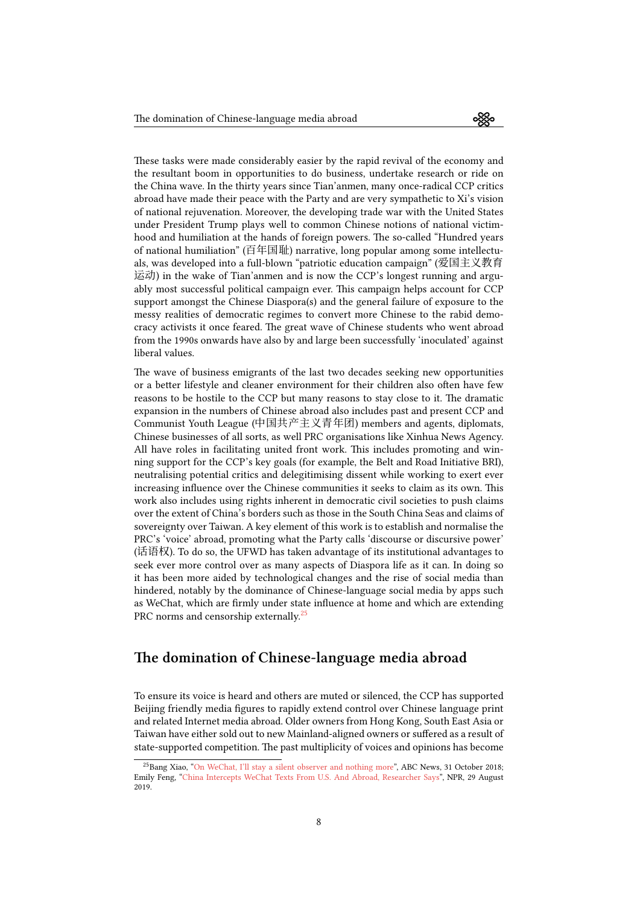These tasks were made considerably easier by the rapid revival of the economy and the resultant boom in opportunities to do business, undertake research or ride on the China wave. In the thirty years since Tian'anmen, many once-radical CCP critics abroad have made their peace with the Party and are very sympathetic to Xi's vision of national rejuvenation. Moreover, the developing trade war with the United States under President Trump plays well to common Chinese notions of national victimhood and humiliation at the hands of foreign powers. The so-called "Hundred years of national humiliation" (百年国耻) narrative, long popular among some intellectuals, was developed into a full-blown "patriotic education campaign" (爱国主义教育 运动) in the wake of Tian'anmen and is now the CCP's longest running and arguably most successful political campaign ever. This campaign helps account for CCP support amongst the Chinese Diaspora(s) and the general failure of exposure to the messy realities of democratic regimes to convert more Chinese to the rabid democracy activists it once feared. The great wave of Chinese students who went abroad from the 1990s onwards have also by and large been successfully 'inoculated' against liberal values.

The wave of business emigrants of the last two decades seeking new opportunities or a better lifestyle and cleaner environment for their children also often have few reasons to be hostile to the CCP but many reasons to stay close to it. The dramatic expansion in the numbers of Chinese abroad also includes past and present CCP and Communist Youth League (中国共产主义青年团) members and agents, diplomats, Chinese businesses of all sorts, as well PRC organisations like Xinhua News Agency. All have roles in facilitating united front work. This includes promoting and winning support for the CCP's key goals (for example, the Belt and Road Initiative BRI), neutralising potential critics and delegitimising dissent while working to exert ever increasing influence over the Chinese communities it seeks to claim as its own. This work also includes using rights inherent in democratic civil societies to push claims over the extent of China's borders such as those in the South China Seas and claims of sovereignty over Taiwan. A key element of this work is to establish and normalise the PRC's 'voice' abroad, promoting what the Party calls 'discourse or discursive power' (话语权). To do so, the UFWD has taken advantage of its institutional advantages to seek ever more control over as many aspects of Diaspora life as it can. In doing so it has been more aided by technological changes and the rise of social media than hindered, notably by the dominance of Chinese-language social media by apps such as WeChat, which are firmly under state influence at home and which are extending PRC norms and censorship externally.<sup>25</sup>

## **The domination of Chine[se](#page-7-0)-language media abroad**

To ensure its voice is heard and others are muted or silenced, the CCP has supported Beijing friendly media figures to rapidly extend control over Chinese language print and related Internet media abroad. Older owners from Hong Kong, South East Asia or Taiwan have either sold out to new Mainland-aligned owners or suffered as a result of state-supported competition. The past multiplicity of voices and opinions has become

<span id="page-7-0"></span><sup>&</sup>lt;sup>25</sup>Bang Xiao, "On WeChat, I'll stay a silent observer and nothing more", ABC News, 31 October 2018; Emily Feng, "China Intercepts WeChat Texts From U.S. And Abroad, Researcher Says", NPR, 29 August 2019.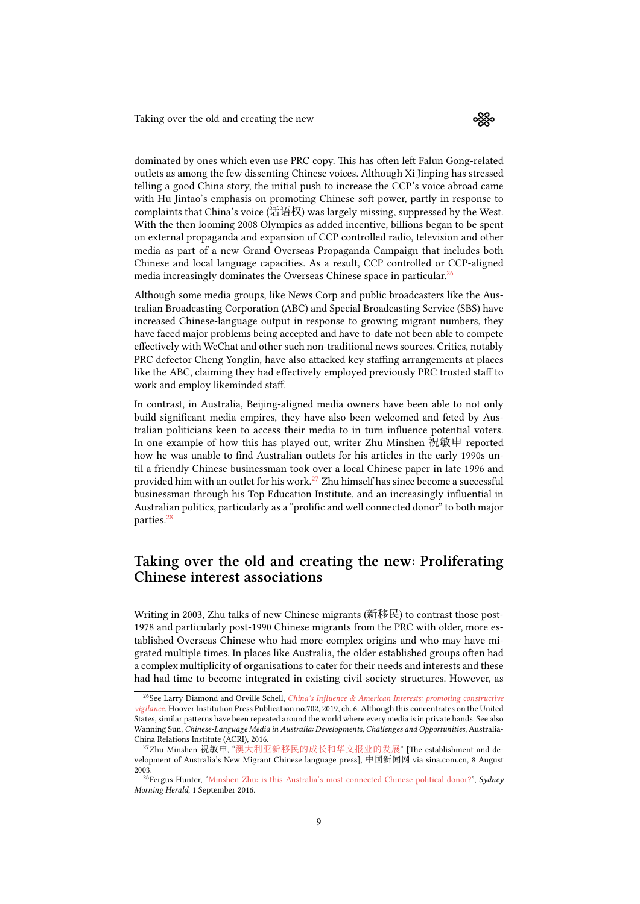dominated by ones which even use PRC copy. This has often left Falun Gong-related outlets as among the few dissenting Chinese voices. Although Xi Jinping has stressed telling a good China story, the initial push to increase the CCP's voice abroad came with Hu Jintao's emphasis on promoting Chinese soft power, partly in response to complaints that China's voice (话语权) was largely missing, suppressed by the West. With the then looming 2008 Olympics as added incentive, billions began to be spent on external propaganda and expansion of CCP controlled radio, television and other media as part of a new Grand Overseas Propaganda Campaign that includes both Chinese and local language capacities. As a result, CCP controlled or CCP-aligned media increasingly dominates the Overseas Chinese space in particular. $^{26}$ 

Although some media groups, like News Corp and public broadcasters like the Australian Broadcasting Corporation (ABC) and Special Broadcasting Service (SBS) have increased Chinese-language output in response to growing migrant n[um](#page-8-0)bers, they have faced major problems being accepted and have to-date not been able to compete effectively with WeChat and other such non-traditional news sources. Critics, notably PRC defector Cheng Yonglin, have also attacked key staffing arrangements at places like the ABC, claiming they had effectively employed previously PRC trusted staff to work and employ likeminded staff.

In contrast, in Australia, Beijing-aligned media owners have been able to not only build significant media empires, they have also been welcomed and feted by Australian politicians keen to access their media to in turn influence potential voters. In one example of how this has played out, writer Zhu Minshen 祝敏申 reported how he was unable to find Australian outlets for his articles in the early 1990s until a friendly Chinese businessman took over a local Chinese paper in late 1996 and provided him with an outlet for his work.<sup>27</sup> Zhu himself has since become a successful businessman through his Top Education Institute, and an increasingly influential in Australian politics, particularly as a "prolific and well connected donor" to both major parties.<sup>28</sup>

## **Taking over the old and creating the new: Proliferating Chin[e](#page-8-1)se interest associations**

Writing in 2003, Zhu talks of new Chinese migrants (新移民) to contrast those post-1978 and particularly post-1990 Chinese migrants from the PRC with older, more established Overseas Chinese who had more complex origins and who may have migrated multiple times. In places like Australia, the older established groups often had a complex multiplicity of organisations to cater for their needs and interests and these had had time to become integrated in existing civil-society structures. However, as

<sup>26</sup>See Larry Diamond and Orville Schell, *China's Influence & American Interests: promoting constructive vigilance*, Hoover Institution Press Publication no.702, 2019, ch. 6. Although this concentrates on the United States, similar patterns have been repeated around the world where every media is in private hands. See also Wanning Sun, *Chinese-Language Media in Australia: Developments, Challenges and Opportunities*, Australia-China Relations Institute (ACRI), 2016.

<span id="page-8-0"></span><sup>27</sup>Zhu Minshen 祝敏申, "澳大利亚新移民的成长和华文报业的发展[" \[The establishment and de](https://www.hoover.org/sites/default/files/research/docs/chineseinfluence_americaninterests_fullreport_web.pdf)[velopmen](https://www.hoover.org/sites/default/files/research/docs/chineseinfluence_americaninterests_fullreport_web.pdf)t of Australia's New Migrant Chinese language press], 中国新闻网 via sina.com.cn, 8 August 2003.

<span id="page-8-1"></span><sup>28</sup>Fergus Hunter, "Minshen Zhu: is this Australia's most connected Chinese political donor?", *Sydney Morning Herald*, 1 September 2016.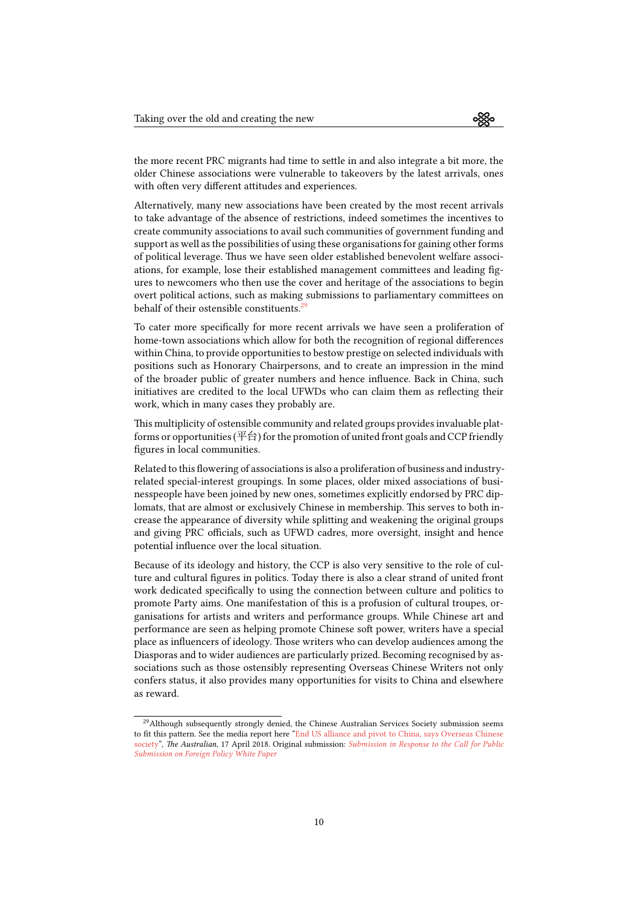the more recent PRC migrants had time to settle in and also integrate a bit more, the older Chinese associations were vulnerable to takeovers by the latest arrivals, ones with often very different attitudes and experiences.

Alternatively, many new associations have been created by the most recent arrivals to take advantage of the absence of restrictions, indeed sometimes the incentives to create community associations to avail such communities of government funding and support as well as the possibilities of using these organisations for gaining other forms of political leverage. Thus we have seen older established benevolent welfare associations, for example, lose their established management committees and leading figures to newcomers who then use the cover and heritage of the associations to begin overt political actions, such as making submissions to parliamentary committees on behalf of their ostensible constituents.<sup>29</sup>

To cater more specifically for more recent arrivals we have seen a proliferation of home-town associations which allow for both the recognition of regional differences within China, to provide opportunities [to](#page-9-0) bestow prestige on selected individuals with positions such as Honorary Chairpersons, and to create an impression in the mind of the broader public of greater numbers and hence influence. Back in China, such initiatives are credited to the local UFWDs who can claim them as reflecting their work, which in many cases they probably are.

This multiplicity of ostensible community and related groups provides invaluable platforms or opportunities ( $\Psi$   $\oplus$ ) for the promotion of united front goals and CCP friendly figures in local communities.

Related to this flowering of associations is also a proliferation of business and industryrelated special-interest groupings. In some places, older mixed associations of businesspeople have been joined by new ones, sometimes explicitly endorsed by PRC diplomats, that are almost or exclusively Chinese in membership. This serves to both increase the appearance of diversity while splitting and weakening the original groups and giving PRC officials, such as UFWD cadres, more oversight, insight and hence potential influence over the local situation.

Because of its ideology and history, the CCP is also very sensitive to the role of culture and cultural figures in politics. Today there is also a clear strand of united front work dedicated specifically to using the connection between culture and politics to promote Party aims. One manifestation of this is a profusion of cultural troupes, organisations for artists and writers and performance groups. While Chinese art and performance are seen as helping promote Chinese soft power, writers have a special place as influencers of ideology. Those writers who can develop audiences among the Diasporas and to wider audiences are particularly prized. Becoming recognised by associations such as those ostensibly representing Overseas Chinese Writers not only confers status, it also provides many opportunities for visits to China and elsewhere as reward.

<span id="page-9-0"></span> $^{29}$ Although subsequently strongly denied, the Chinese Australian Services Society submission seems to fit this pattern. See the media report here "End US alliance and pivot to China, says Overseas Chinese society", *The Australian*, 17 April 2018. Original submission: *Submission in Response to the Call for Public Submission on Foreign Policy White Paper*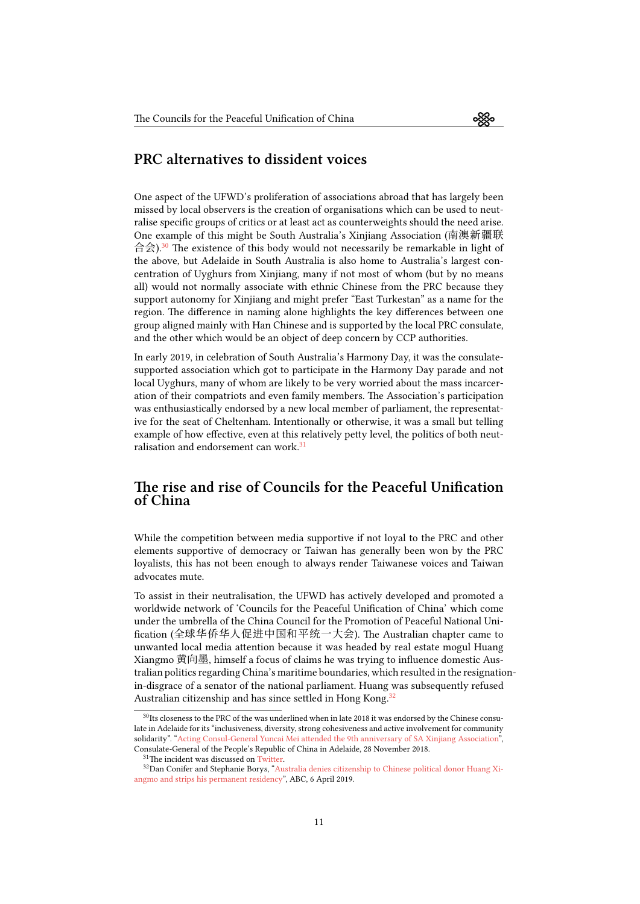#### **PRC alternatives to dissident voices**

One aspect of the UFWD's proliferation of associations abroad that has largely been missed by local observers is the creation of organisations which can be used to neutralise specific groups of critics or at least act as counterweights should the need arise. One example of this might be South Australia's Xinjiang Association (南澳新疆联 合会).<sup>30</sup> The existence of this body would not necessarily be remarkable in light of the above, but Adelaide in South Australia is also home to Australia's largest concentration of Uyghurs from Xinjiang, many if not most of whom (but by no means all) would not normally associate with ethnic Chinese from the PRC because they suppo[rt](#page-10-0) autonomy for Xinjiang and might prefer "East Turkestan" as a name for the region. The difference in naming alone highlights the key differences between one group aligned mainly with Han Chinese and is supported by the local PRC consulate, and the other which would be an object of deep concern by CCP authorities.

In early 2019, in celebration of South Australia's Harmony Day, it was the consulatesupported association which got to participate in the Harmony Day parade and not local Uyghurs, many of whom are likely to be very worried about the mass incarceration of their compatriots and even family members. The Association's participation was enthusiastically endorsed by a new local member of parliament, the representative for the seat of Cheltenham. Intentionally or otherwise, it was a small but telling example of how effective, even at this relatively petty level, the politics of both neutralisation and endorsement can work.<sup>31</sup>

#### **The rise and rise of Coun[ci](#page-10-1)ls for the Peaceful Unification of China**

While the competition between media supportive if not loyal to the PRC and other elements supportive of democracy or Taiwan has generally been won by the PRC loyalists, this has not been enough to always render Taiwanese voices and Taiwan advocates mute.

To assist in their neutralisation, the UFWD has actively developed and promoted a worldwide network of 'Councils for the Peaceful Unification of China' which come under the umbrella of the China Council for the Promotion of Peaceful National Unification (全球华侨华人促进中国和平统一大会). The Australian chapter came to unwanted local media attention because it was headed by real estate mogul Huang Xiangmo 黄向墨, himself a focus of claims he was trying to influence domestic Australian politics regarding China's maritime boundaries, which resulted in the resignationin-disgrace of a senator of the national parliament. Huang was subsequently refused Australian citizenship and has since settled in Hong Kong.<sup>32</sup>

 $^{30}$ Its closeness to the PRC of the was underlined when in late 2018 it was endorsed by the Chinese consulate in Adelaide for its "inclusiveness, diversity, strong cohesiveness and active involvement for community solidarity". "Acting Consul-General Yuncai Mei attended the 9th anniversary of SA Xinjiang Association", Consulate-General of the People's Republic of China in Adelaide, 28 Nov[em](#page-10-2)ber 2018.

<span id="page-10-0"></span><sup>&</sup>lt;sup>31</sup>The incident was discussed on Twitter.

<span id="page-10-2"></span><span id="page-10-1"></span><sup>32</sup>Dan Conifer and Stephanie Borys, "Australia denies citizenship to Chinese political donor Huang Xiangmo and strips his permanent residency", ABC, 6 April 2019.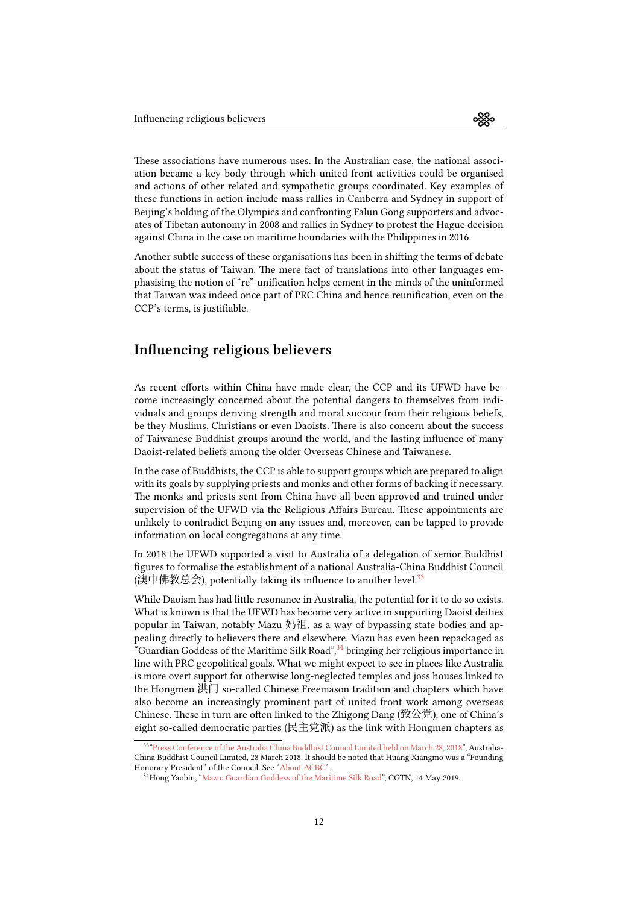These associations have numerous uses. In the Australian case, the national association became a key body through which united front activities could be organised and actions of other related and sympathetic groups coordinated. Key examples of these functions in action include mass rallies in Canberra and Sydney in support of Beijing's holding of the Olympics and confronting Falun Gong supporters and advocates of Tibetan autonomy in 2008 and rallies in Sydney to protest the Hague decision against China in the case on maritime boundaries with the Philippines in 2016.

Another subtle success of these organisations has been in shifting the terms of debate about the status of Taiwan. The mere fact of translations into other languages emphasising the notion of "re"-unification helps cement in the minds of the uninformed that Taiwan was indeed once part of PRC China and hence reunification, even on the CCP's terms, is justifiable.

## **Influencing religious believers**

As recent efforts within China have made clear, the CCP and its UFWD have become increasingly concerned about the potential dangers to themselves from individuals and groups deriving strength and moral succour from their religious beliefs, be they Muslims, Christians or even Daoists. There is also concern about the success of Taiwanese Buddhist groups around the world, and the lasting influence of many Daoist-related beliefs among the older Overseas Chinese and Taiwanese.

In the case of Buddhists, the CCP is able to support groups which are prepared to align with its goals by supplying priests and monks and other forms of backing if necessary. The monks and priests sent from China have all been approved and trained under supervision of the UFWD via the Religious Affairs Bureau. These appointments are unlikely to contradict Beijing on any issues and, moreover, can be tapped to provide information on local congregations at any time.

In 2018 the UFWD supported a visit to Australia of a delegation of senior Buddhist figures to formalise the establishment of a national Australia-China Buddhist Council (澳中佛教总会), potentially taking its influence to another level.<sup>33</sup>

While Daoism has had little resonance in Australia, the potential for it to do so exists. What is known is that the UFWD has become very active in supporting Daoist deities popular in Taiwan, notably Mazu 妈祖, as a way of bypassing [sta](#page-11-0)te bodies and appealing directly to believers there and elsewhere. Mazu has even been repackaged as "Guardian Goddess of the Maritime Silk Road",<sup>34</sup> bringing her religious importance in line with PRC geopolitical goals. What we might expect to see in places like Australia is more overt support for otherwise long-neglected temples and joss houses linked to the Hongmen 洪门 so-called Chinese Freemason tradition and chapters which have also become an increasingly prominent part [of](#page-11-1) united front work among overseas Chinese. These in turn are often linked to the Zhigong Dang (致公党), one of China's eight so-called democratic parties (民主党派) as the link with Hongmen chapters as

<sup>33</sup> "Press Conference of the Australia China Buddhist Council Limited held on March 28, 2018", Australia-China Buddhist Council Limited, 28 March 2018. It should be noted that Huang Xiangmo was a "Founding Honorary President" of the Council. See "About ACBC".

<span id="page-11-1"></span><span id="page-11-0"></span><sup>34</sup>Hong Yaobin, "Mazu: Guardian Goddess of the Maritime Silk Road", CGTN, 14 May 2019.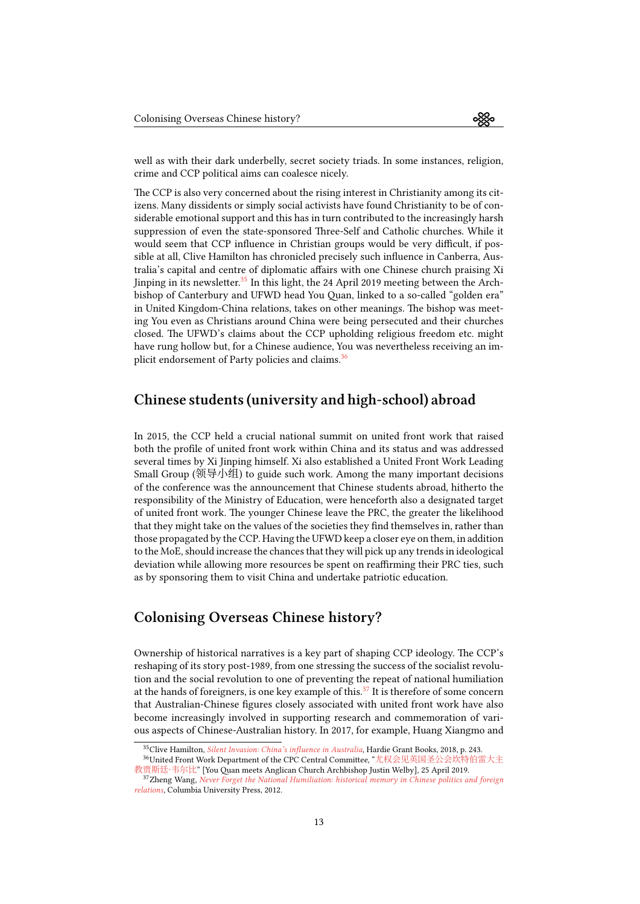well as with their dark underbelly, secret society triads. In some instances, religion, crime and CCP political aims can coalesce nicely.

The CCP is also very concerned about the rising interest in Christianity among its citizens. Many dissidents or simply social activists have found Christianity to be of considerable emotional support and this has in turn contributed to the increasingly harsh suppression of even the state-sponsored Three-Self and Catholic churches. While it would seem that CCP influence in Christian groups would be very difficult, if possible at all, Clive Hamilton has chronicled precisely such influence in Canberra, Australia's capital and centre of diplomatic affairs with one Chinese church praising Xi Jinping in its newsletter.<sup>35</sup> In this light, the 24 April 2019 meeting between the Archbishop of Canterbury and UFWD head You Quan, linked to a so-called "golden era" in United Kingdom-China relations, takes on other meanings. The bishop was meeting You even as Christians around China were being persecuted and their churches closed. The UFWD's cla[im](#page-12-0)s about the CCP upholding religious freedom etc. might have rung hollow but, for a Chinese audience, You was nevertheless receiving an implicit endorsement of Party policies and claims.<sup>36</sup>

#### **Chinese students (university an[d h](#page-12-1)igh-school) abroad**

In 2015, the CCP held a crucial national summit on united front work that raised both the profile of united front work within China and its status and was addressed several times by Xi Jinping himself. Xi also established a United Front Work Leading Small Group (领导小组) to guide such work. Among the many important decisions of the conference was the announcement that Chinese students abroad, hitherto the responsibility of the Ministry of Education, were henceforth also a designated target of united front work. The younger Chinese leave the PRC, the greater the likelihood that they might take on the values of the societies they find themselves in, rather than those propagated by the CCP. Having the UFWD keep a closer eye on them, in addition to the MoE, should increase the chances that they will pick up any trends in ideological deviation while allowing more resources be spent on reaffirming their PRC ties, such as by sponsoring them to visit China and undertake patriotic education.

## **Colonising Overseas Chinese history?**

Ownership of historical narratives is a key part of shaping CCP ideology. The CCP's reshaping of its story post-1989, from one stressing the success of the socialist revolution and the social revolution to one of preventing the repeat of national humiliation at the hands of foreigners, is one key example of this.<sup>37</sup> It is therefore of some concern that Australian-Chinese figures closely associated with united front work have also become increasingly involved in supporting research and commemoration of various aspects of Chinese-Australian history. In 2017, for example, Huang Xiangmo and

<sup>35</sup>Clive Hamilton, *Silent Invasion: China's influence in Australia*[, H](#page-12-2)ardie Grant Books, 2018, p. 243.

<sup>36</sup>United Front Work Department of the CPC Central Committee, "尤权会见英国圣公会坎特伯雷大主 教贾斯廷·韦尔比" [You Quan meets Anglican Church Archbishop Justin Welby], 25 April 2019.

<span id="page-12-2"></span><span id="page-12-1"></span><span id="page-12-0"></span><sup>37</sup>Zheng Wang, *Never Forget the National Humiliation: historical memory in Chinese politics and foreign relations*, Columbia University Press, 2012.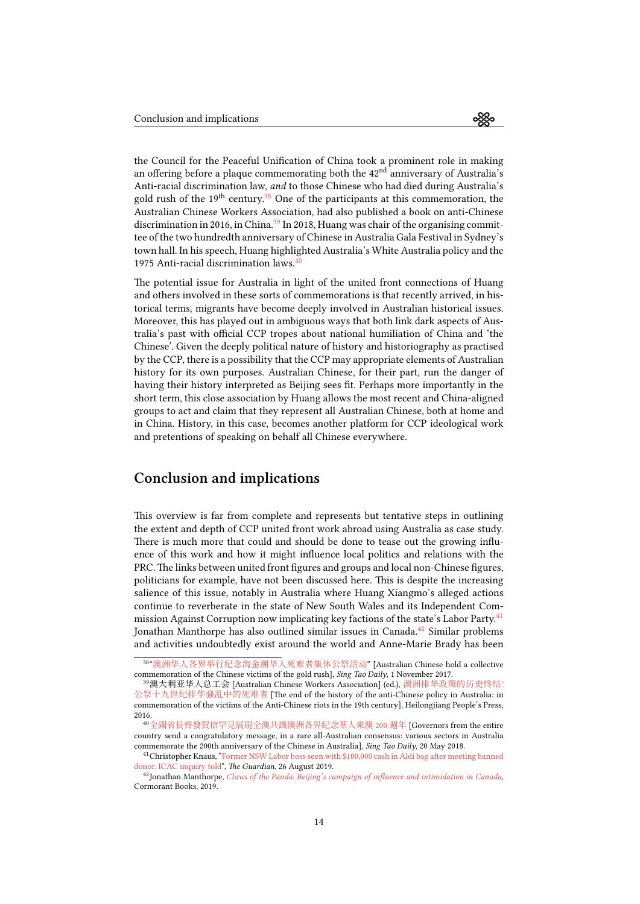the Council for the Peaceful Unification of China took a prominent role in making an offering before a plaque commemorating both the  $42<sup>nd</sup>$  anniversary of Australia's Anti-racial discrimination law, *and* to those Chinese who had died during Australia's gold rush of the  $19<sup>th</sup>$  century.<sup>38</sup> One of the participants at this commemoration, the Australian Chinese Workers Association, had also published a book on anti-Chinese discrimination in 2016, in China. $39$  In 2018, Huang was chair of the organising committee of the two hundredth anniversary of Chinese in Australia Gala Festival in Sydney's town hall. In his speech, Huan[g h](#page-13-0)ighlighted Australia's White Australia policy and the 1975 Anti-racial discrimination laws. $40$ 

The potential issue for Austral[ia](#page-13-1) in light of the united front connections of Huang and others involved in these sorts of commemorations is that recently arrived, in historical terms, migrants have become [d](#page-13-2)eeply involved in Australian historical issues. Moreover, this has played out in ambiguous ways that both link dark aspects of Australia's past with official CCP tropes about national humiliation of China and 'the Chinese'. Given the deeply political nature of history and historiography as practised by the CCP, there is a possibility that the CCP may appropriate elements of Australian history for its own purposes. Australian Chinese, for their part, run the danger of having their history interpreted as Beijing sees fit. Perhaps more importantly in the short term, this close association by Huang allows the most recent and China-aligned groups to act and claim that they represent all Australian Chinese, both at home and in China. History, in this case, becomes another platform for CCP ideological work and pretentions of speaking on behalf all Chinese everywhere.

# **Conclusion and implications**

This overview is far from complete and represents but tentative steps in outlining the extent and depth of CCP united front work abroad using Australia as case study. There is much more that could and should be done to tease out the growing influence of this work and how it might influence local politics and relations with the PRC. The links between united front figures and groups and local non-Chinese figures, politicians for example, have not been discussed here. This is despite the increasing salience of this issue, notably in Australia where Huang Xiangmo's alleged actions continue to reverberate in the state of New South Wales and its Independent Commission Against Corruption now implicating key factions of the state's Labor Party.<sup>41</sup> Jonathan Manthorpe has also outlined similar issues in Canada.<sup>42</sup> Similar problems and activities undoubtedly exist around the world and Anne-Marie Brady has been

<sup>38</sup> "澳洲华人各界举行纪念淘金潮华人死难者集体公祭活动" [Australian Chinese hold a collecti[ve](#page-13-3) commemoration of the Chinese victims of the gold rush], *Sing Tao Daily*, 1 November 2017.

<sup>39</sup>澳大利亚华人总工会 [Australian Chinese Workers Association] (ed.), 澳[洲排](#page-13-4)华政策的历史终结: 公祭十九世纪排华骚乱中的死难者 [The end of the history of the anti-Chinese policy in Australia: in commemoration of the victims of the Anti-Chinese riots in the 19th century], Heilongjiang People's Press, 2016.

<span id="page-13-1"></span><span id="page-13-0"></span><sup>40</sup>[全國省長齊發賀信罕見展現全澳共識澳洲各界紀念華人來澳](https://web.archive.org/web/20190911105349/https://www.singtao.com.au/10-%E7%A4%BE%E5%8D%80%E5%8F%8A%E5%95%86%E6%A5%AD%E5%BF%AB%E8%A8%8A/209006-%E6%BE%B3%E6%B4%B2%E8%8F%AF%E4%BA%BA%E5%90%84%E7%95%8C%E8%88%89%E8%A1%8C%E7%B4%80%E5%BF%B5%E6%B7%98%E9%87%91%E6%BD%AE%E8%8F%AF%E4%BA%BA%E6%AD%BB%E9%9B%A3%E8%80%85%E9%9B%86%E9%AB%94%E5%85%AC%E7%A5%AD%E6%B4%BB%E5%8B%95/?fromG=1) 200 週年 [Governors from the entire country send a congratulatory message, in a rare all-Australian consensus: [various sectors in Australia](http://product.dangdang.com/1086779676.html) [commemorate the 200th anniversary o](http://product.dangdang.com/1086779676.html)f the Chinese in Australia], *Sing Tao Daily*, 20 May 2018.

<sup>41</sup>Christopher Knaus, "Former NSW Labor boss seen with \$100,000 cash in Aldi bag after meeting banned donor, ICAC inquiry told", *The Guardian*, 26 August 2019.

<span id="page-13-4"></span><span id="page-13-3"></span><span id="page-13-2"></span><sup>42</sup>Jonathan Manthorpe, *[Claws of the Panda: Beijing's campaign of influence a](https://web.archive.org/web/20190911105928/https://www.singtao.com.au/10-%E7%A4%BE%E5%8D%80%E5%8F%8A%E5%95%86%E6%A5%AD%E5%BF%AB%E8%A8%8A/400220-%E5%85%A8%E5%9C%8B%E7%9C%81%E9%95%B7%E9%BD%8A%E7%99%BC%E8%B3%80%E4%BF%A1-%E7%BD%95%E8%A6%8B%E5%B1%95%E7%8F%BE%E5%85%A8%E6%BE%B3%E5%85%B1%E8%AD%98-%E6%BE%B3%E6%B4%B2%E5%90%84%E7%95%8C%E7%B4%80%E5%BF%B5%E8%8F%AF%E4%BA%BA%E4%BE%86%E6%BE%B3200%E9%80%B1%E5%B9%B4/)nd intimidation in Canada*, Cormorant Books, 2019.